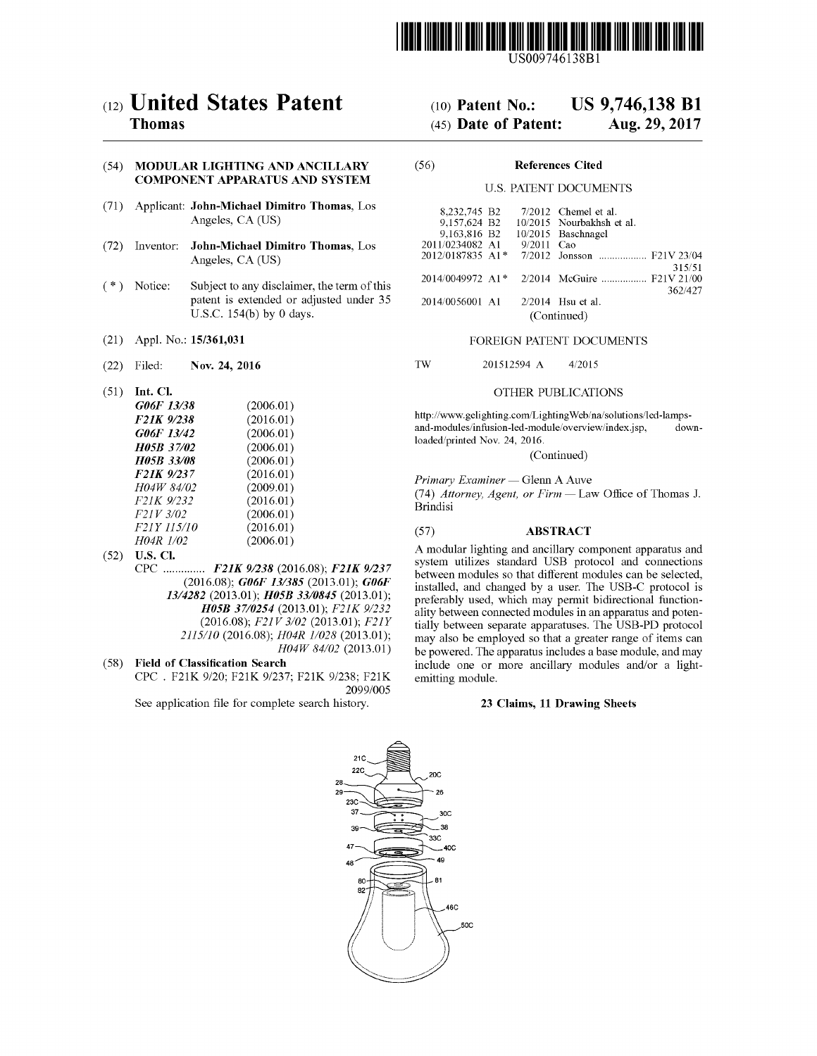

# ( 12 ) United States Patent

# Thomas

# (54) MODULAR LIGHTING AND ANCILLARY (56) References Cited COMPONENT APPARATUS AND SYSTEM U.S. PATENT DOCUMENTS

- (71) Applicant: John-Michael Dimitro Thomas, Los Angeles, CA (US)
- (72) Inventor: John-Michael Dimitro Thomas, Los Angeles, CA (US)
- $(* )$  Notice: Subject to any disclaimer, the term of this patent is extended or adjusted under 35 U.S.C.  $154(b)$  by 0 days.
- 
- 
- $(51)$  Int. Cl.

| G06F 13/38              | (2006.01) |
|-------------------------|-----------|
| F21K 9/238              | (2016.01) |
| G06F 13/42              | (2006.01) |
| H05B 37/02              | (2006.01) |
| <b>H05B 33/08</b>       | (2006.01) |
| F <sub>21</sub> K 9/237 | (2016.01) |
| H04W 84/02              | (2009.01) |
| F21K 9/232              | (2016.01) |
| F21V 3/02               | (2006.01) |
| <i>F21Y 115/10</i>      | (2016.01) |
| H04R 1/02               | (2006.01) |

- (52) U.S. Cl.<br>CPC .............. F21K 9/238 (2016.08); F21K 9/237  $(2016.08)$ ; G06F 13/385 (2013.01); G06F 13/4282 (2013.01); H05B 33/0845 (2013.01); H05B 37/0254 (2013.01); F21K 9/232 (2016.08); F21V 3/02 (2013.01); F21Y 2115/10 (2016.08); H04R 1/028 (2013.01); H04W 84/02 (2013.01)
- (58) Field of Classification Search

CPC . F21K 9/20; F21K 9/237; F21K 9/238; F21K 2099/005

See application file for complete search history.

# (10) Patent No.: US  $9,746,138$  B1<br>(45) Date of Patent: Aug. 29, 2017

## $(45)$  Date of Patent:

| 8,232,745 B2               |  |  | $7/2012$ Chemel et al.                      |
|----------------------------|--|--|---------------------------------------------|
| 9,157,624 B2               |  |  | 10/2015 Nourbakhsh et al.                   |
| 9.163.816 B2               |  |  | 10/2015 Baschnagel                          |
| 2011/0234082 A1 9/2011 Cao |  |  |                                             |
|                            |  |  | 2012/0187835 A1* 7/2012 Jonsson  F21V 23/04 |
|                            |  |  | 315/51                                      |
|                            |  |  | 2014/0049972 A1* 2/2014 McGuire  F21V 21/00 |
|                            |  |  | 362/427                                     |
| 2014/0056001 A1            |  |  | $2/2014$ Hsu et al.                         |
| (Continued)                |  |  |                                             |

### (21) Appl. No.: 15/361,031 FOREIGN PATENT DOCUMENTS

(22) Filed: Nov. 24, 2016 TW 201512594 A 4/2015

### OTHER PUBLICATIONS

http://www.gelighting.com/LightingWeb/na/solutions/led-lamps-<br>and-modules/infusion-led-module/overview/index.jsp, downloaded/printed Nov. 24, 2016.<br>(Continued)

Primary Examiner - Glenn A Auve

(74) Attorney, Agent, or Firm - Law Office of Thomas J. Brindisi

### ( 57 ) ABSTRACT

A modular lighting and ancillary component apparatus and system utilizes standard USB protocol and connections between modules so that different modules can be selected, installed, and changed by a user. The USB-C protocol is preferably used, which may permit bidirectional functionality between connected modules in an apparatus and potentially between separate apparatuses. The USB-PD protocol may also be employed so that a greater range of items can be powered. The apparatus includes a base module, and may include one or more ancillary modules and/or a light-emitting module.

### 23 Claims, 11 Drawing Sheets

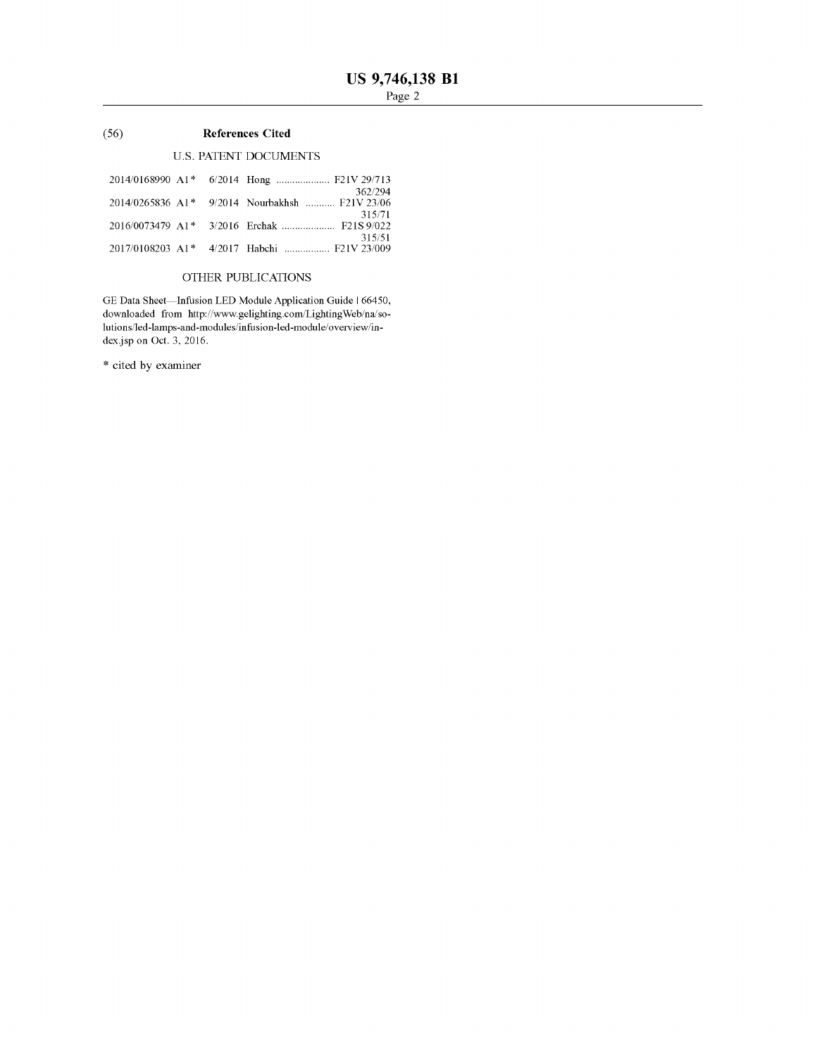### (56) References Cited

### U.S. PATENT DOCUMENTS

|  | 362/294                                                  |
|--|----------------------------------------------------------|
|  | 2014/0265836 A1* 9/2014 Nourbakhsh  F21V 23/06<br>315/71 |
|  |                                                          |
|  | 315/51                                                   |
|  | 2017/0108203 A1 <sup>*</sup> 4/2017 Habchi  F21V 23/009  |

### OTHER PUBLICATIONS

GE Data Sheet—Infusion LED Module Application Guide | 66450, downloaded from http://www.gelighting.com/LightingWeb/na/solutions / led - lamps - and - modules / infusion - led - module / overview / in dex.jsp on Oct.  $\beta$ , 2016.

\* cited by examiner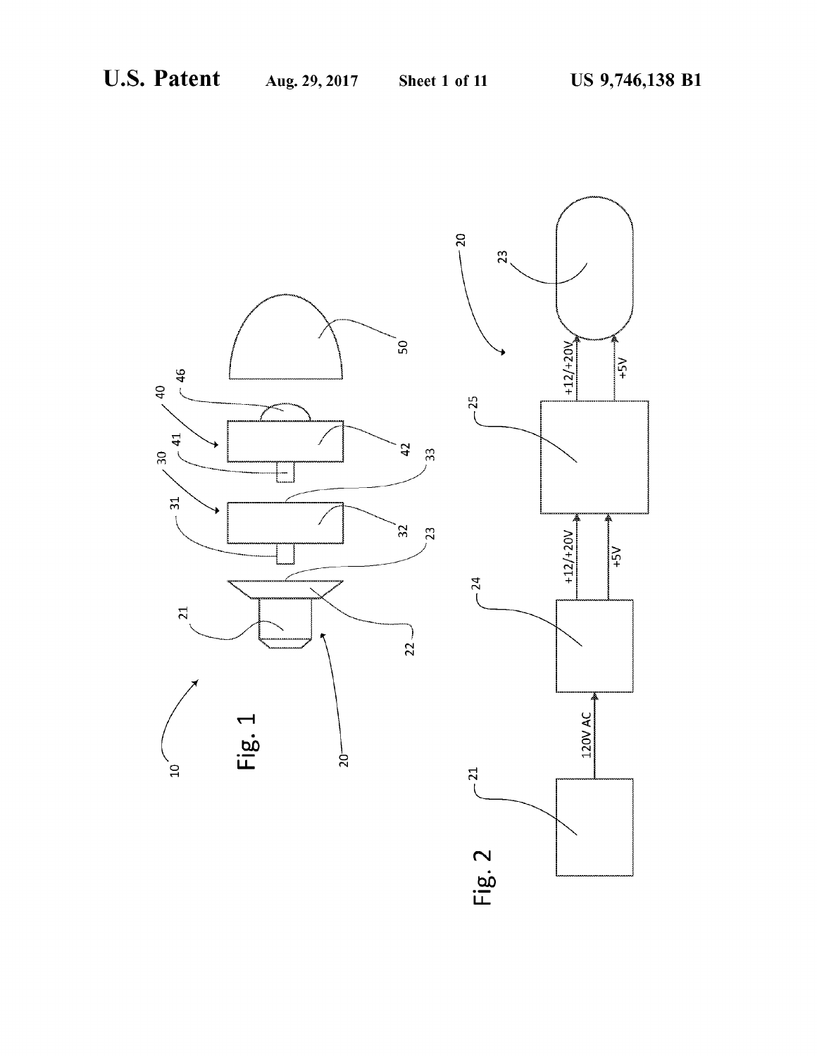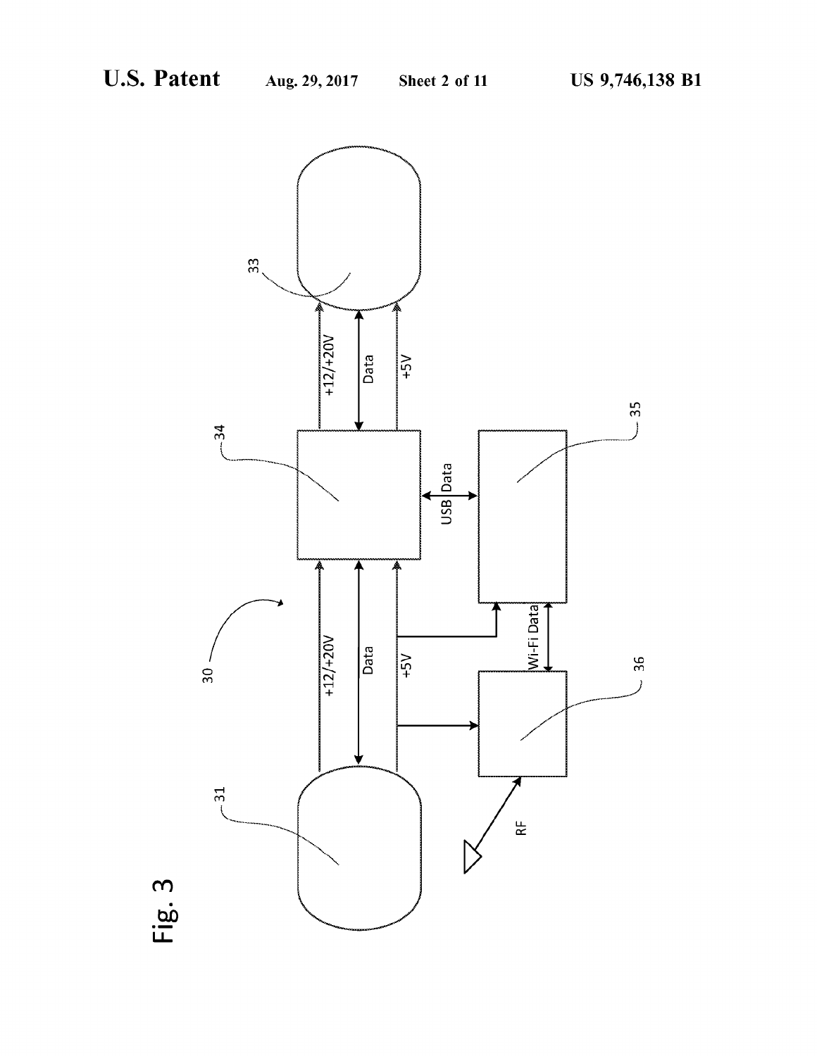

Fig .3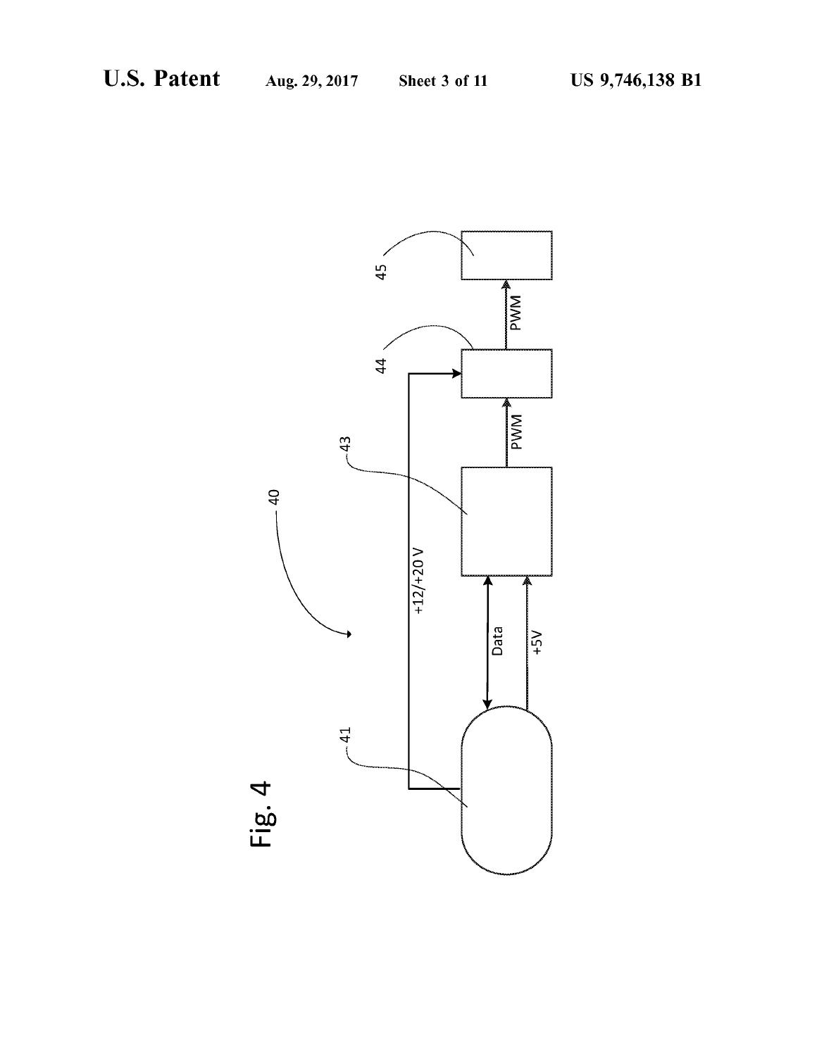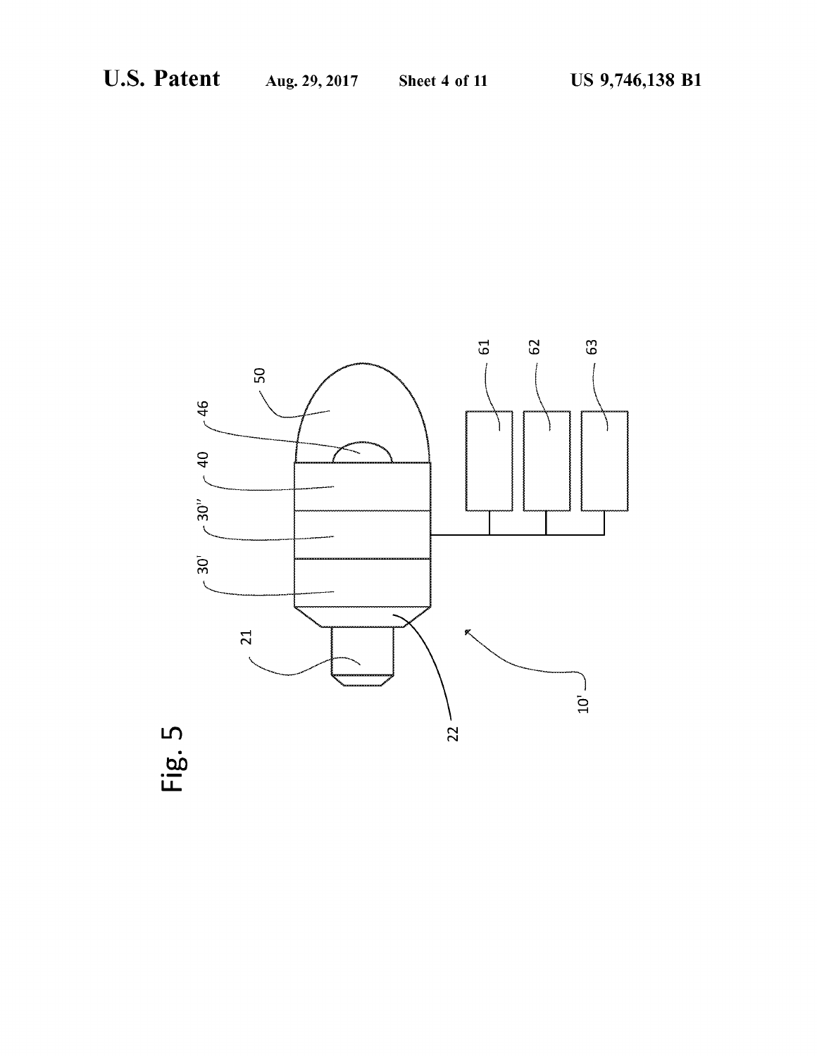

Fig .5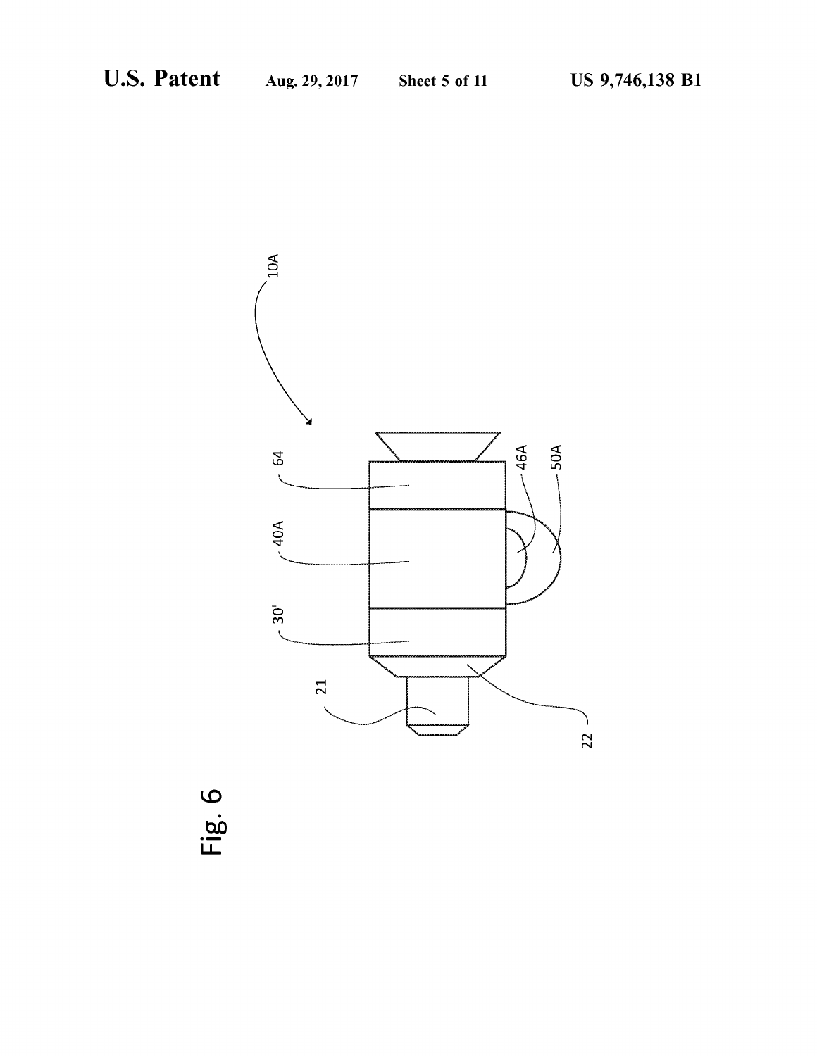

Fig .6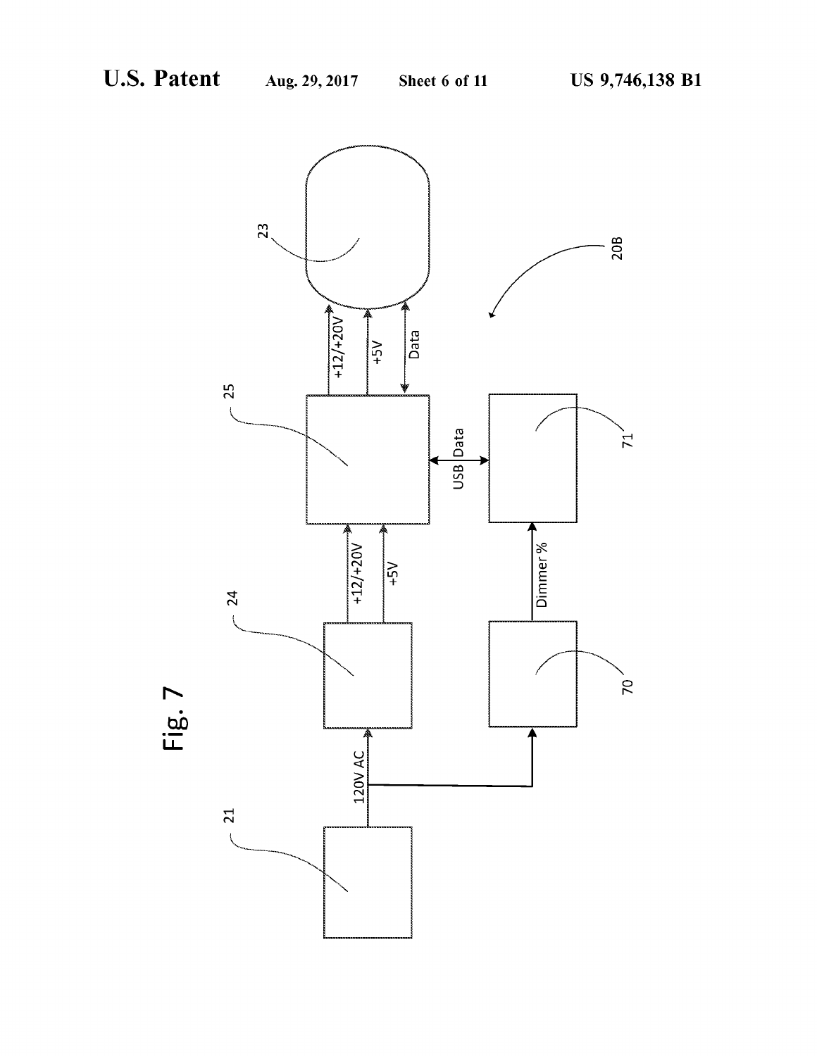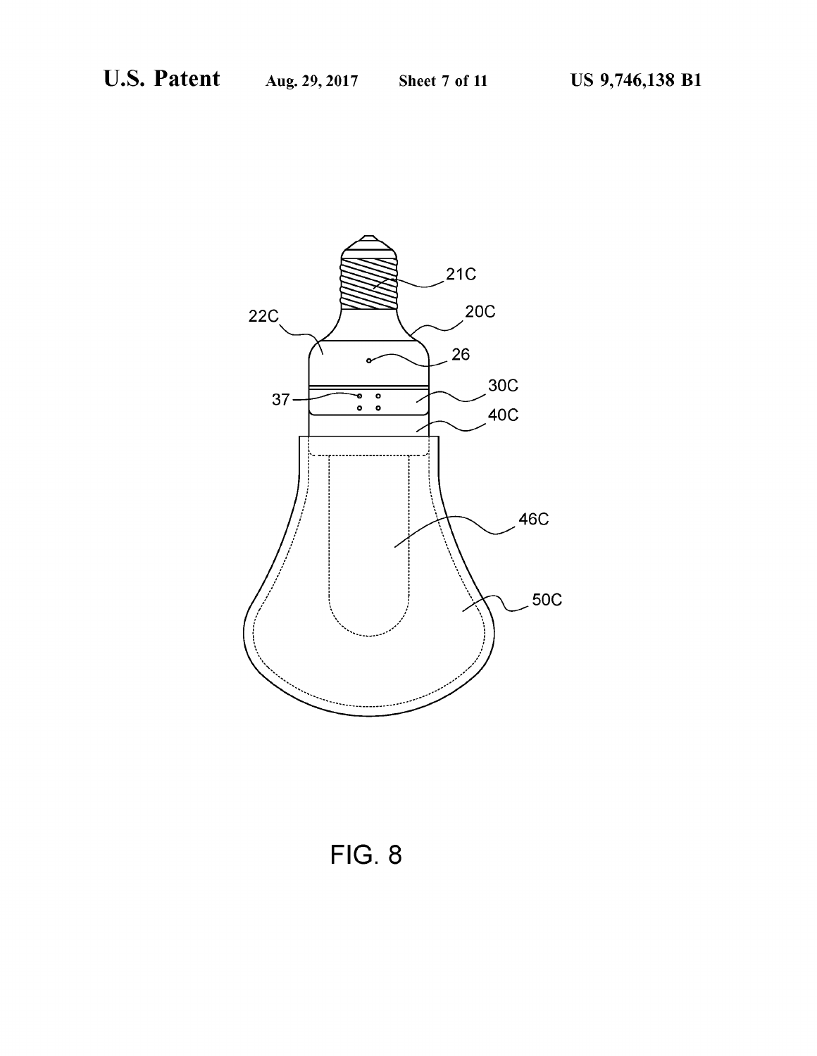

**FIG. 8**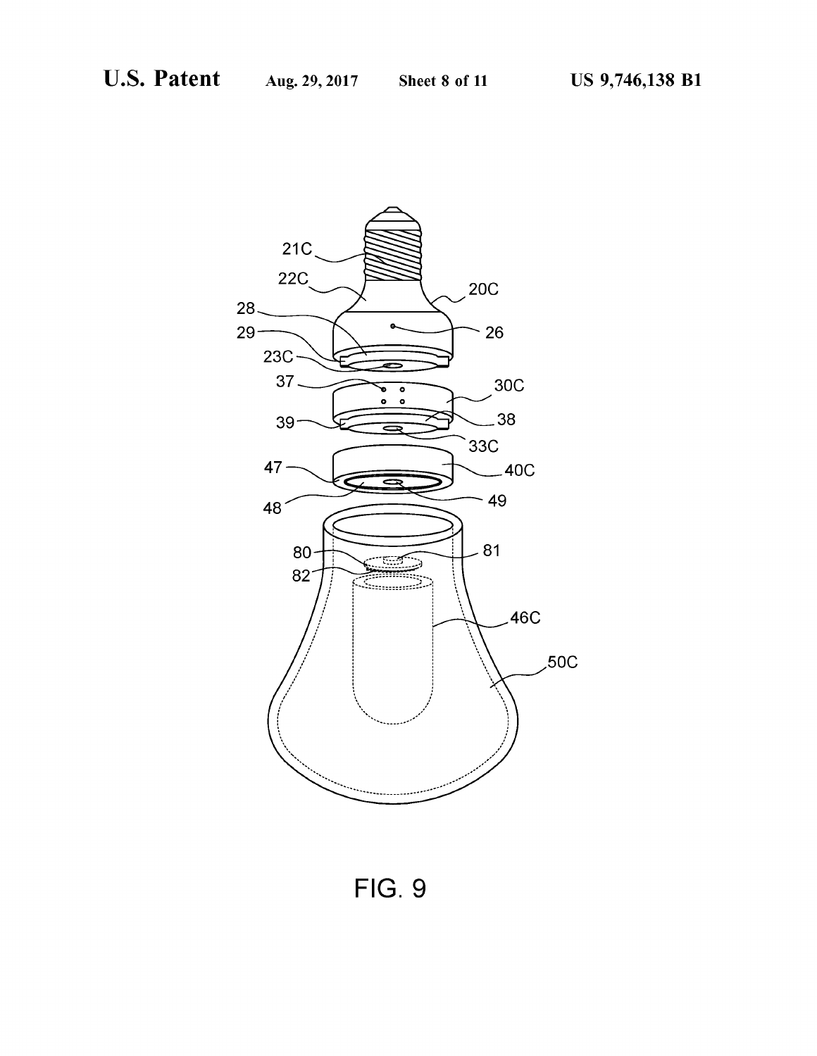

**FIG. 9**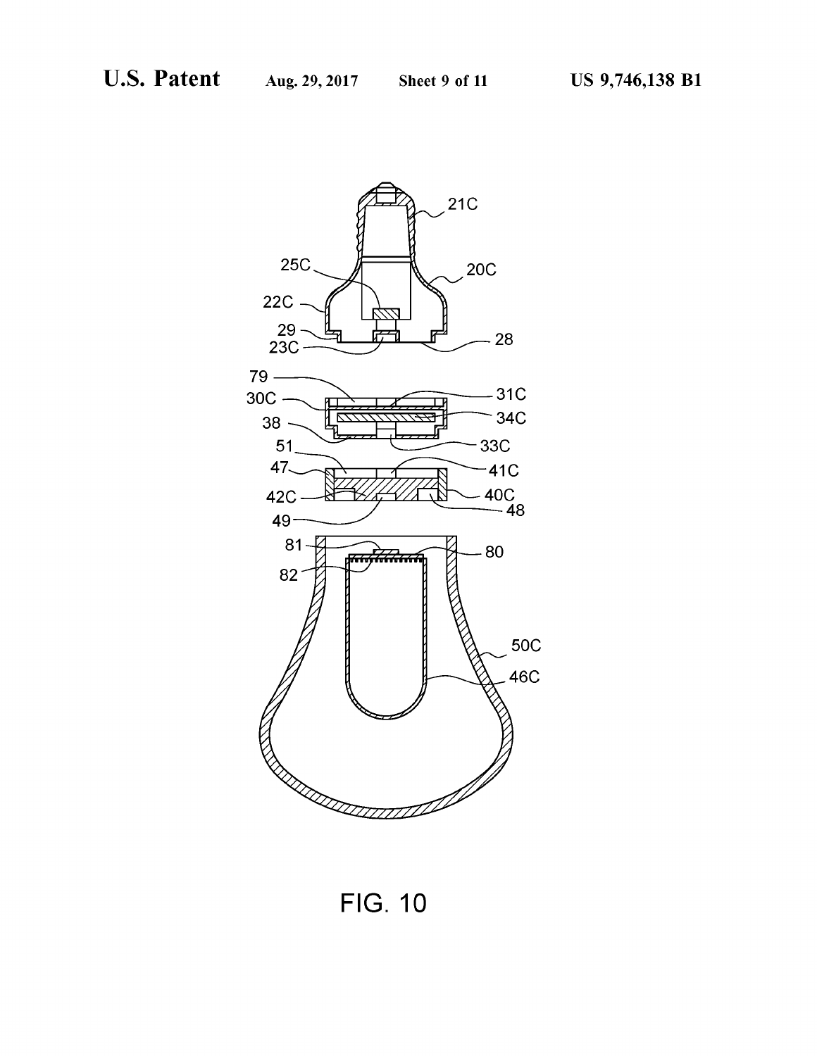

**FIG. 10**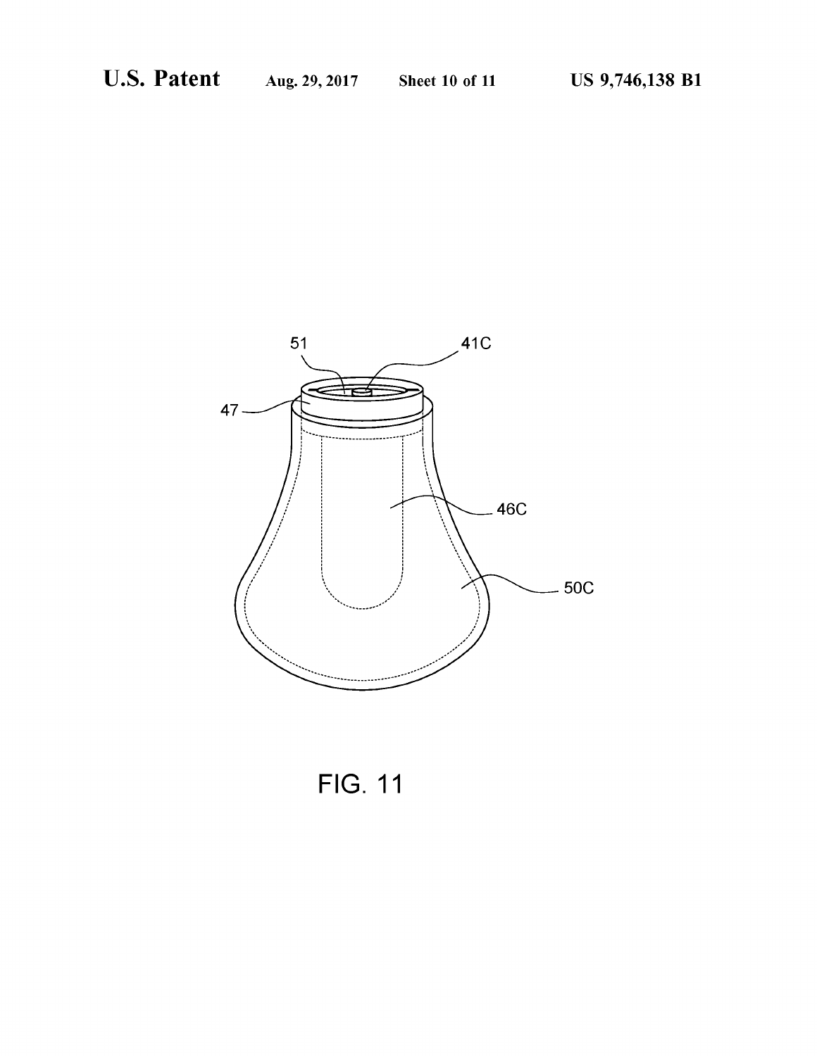

**FIG. 11**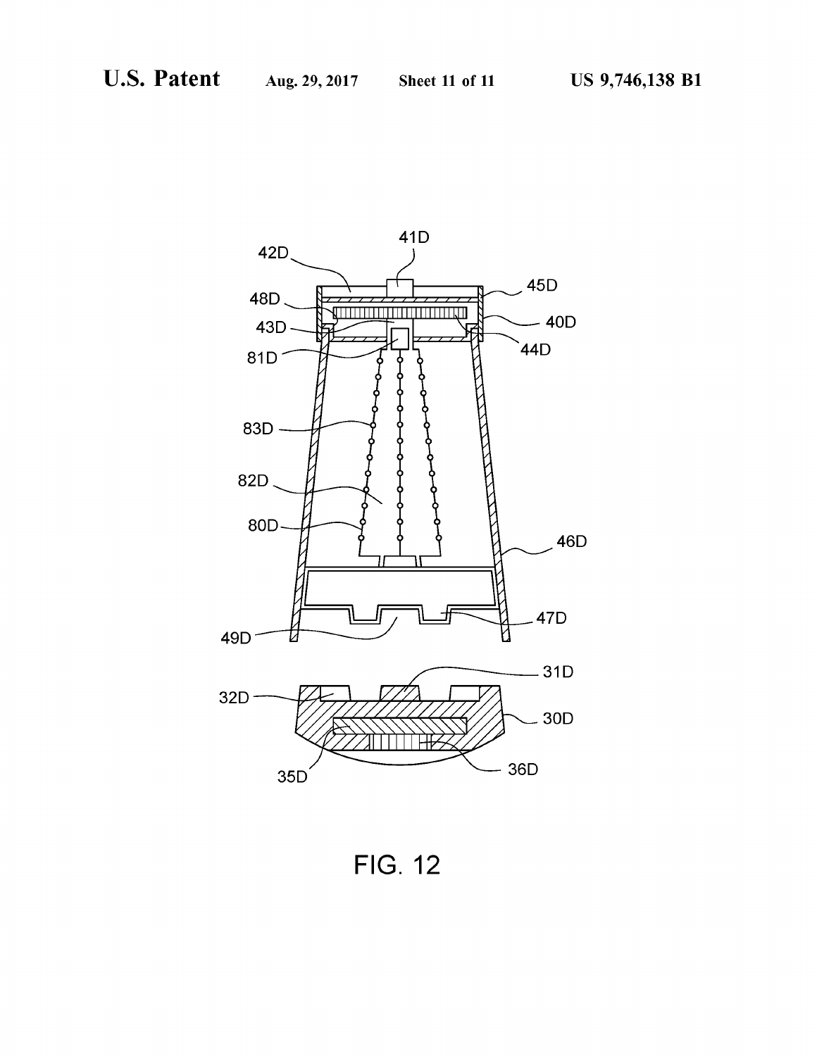

**FIG. 12**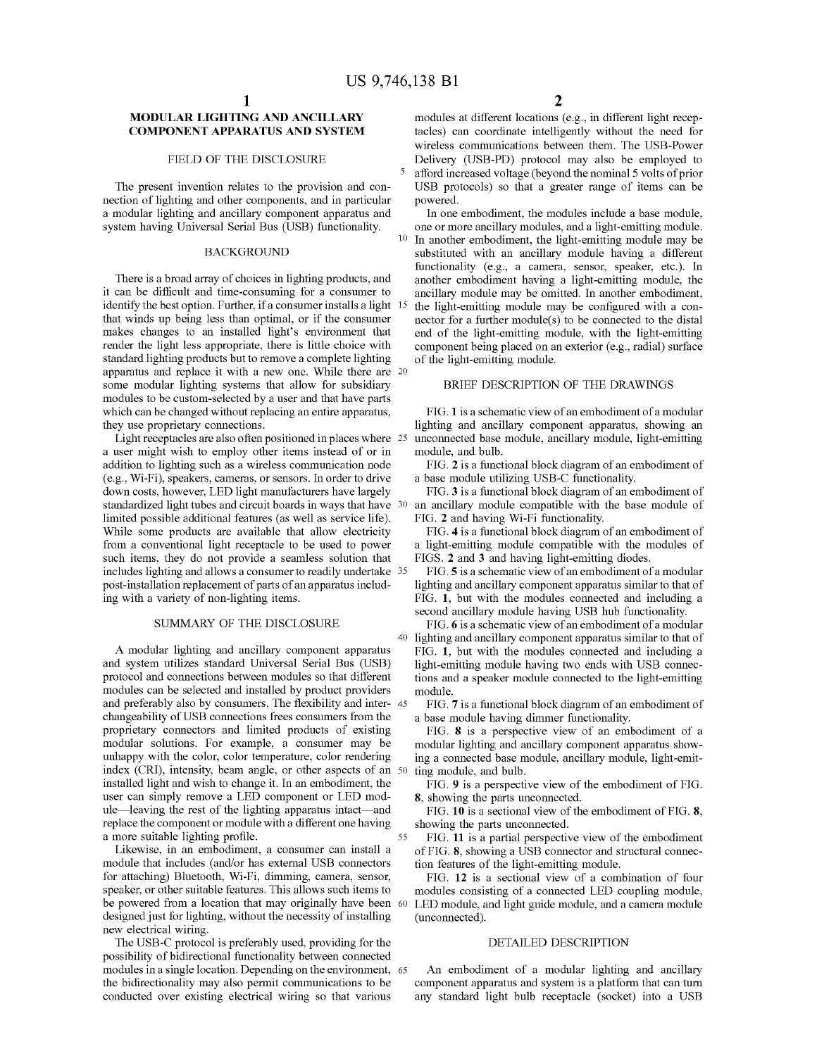identify the best option. Further, if a consumer installs a light <sup>15</sup> the light-emitting module may be configured with a conthat winds up being less than optimal, or if the consumer nector for a further module(s) to be co that winds up being less than optimal, or if the consumer nector for a further module(s) to be connected to the distal<br>makes changes to an installed light's environment that end of the light-emitting module, with the light makes changes to an installed light's environment that end of the light-emitting module, with the light-emitting<br>render the light less appropriate, there is little choice with component being placed on an exterior (e.g., r apparatus and replace it with a new one. While there are  $20$ <br>some modular lighting systems that allow for subsidiary BRIEF DESCRIPTION OF THE DRAWINGS some modular lighting systems that allow for subsidiary modules to be custom-selected by a user and that have parts

a user might wish to employ other items instead of or in module, and bulb.<br>addition to lighting such as a wireless communication node FIG. 2 is a functional block diagram of an embodiment of (e.g., Wi-Fi), speakers, camera (e.g., Wi-Fi), speakers, cameras, or sensors. In order to drive a base module utilizing USB-C functionality.<br>down costs, however, LED light manufacturers have largely FIG. 3 is a functional block diagram of an embodiment o standardized light tubes and circuit boards in ways that have 30 an ancillary module compatible with limited possible additional features (as well as service life). FIG. 2 and having Wi-Fi functionality. limited possible additional features (as well as service life). FIG. 2 and having Wi-Fi functionality.<br>While some products are available that allow electricity FIG. 4 is a functional block diagram of an embodiment of While some products are available that allow electricity from a conventional light receptacle to be used to power from a conventional light receptacle to be used to power a light-emitting module compatible with the modules of such items, they do not provide a seamless solution that FIGS. 2 and 3 and having light-emitting diodes. includes lighting and allows a consumer to readily undertake 35 FIG. 5 is a schematic view of an embodiment of a modular<br>post-installation replacement of parts of an apparatus includ-<br>lighting and ancillary component appar

A modular lighting and ancillary component apparatus FIG. 1, but with the modules connected and including a and system utilizes standard Universal Serial Bus (USB) light-emitting module having two ends with USB connecand system utilizes standard Universal Serial Bus (USB) light-emitting module having two ends with USB connec-<br>protocol and connections between modules so that different ions and a speaker module connected to the light-emi modules can be selected and installed by product providers and preferably also by consumers. The flexibility and interand preferably also by consumers. The flexibility and inter- $45$  FIG. 7 is a functional block diagram of an embodiment of changeability of USB connections frees consumers from the a base module having dimmer functionality proprietary connectors and limited products of existing FIG. 8 is a perspective view of an embodiment of a modular solutions. For example, a consumer may be modular lighting and ancillary component apparatus showmodular solutions. For example, a consumer may be modular lighting and ancillary component apparatus showunhappy with the color, color temperature, color rendering ing a connected base module, ancillary module, light-emitunhappy with the color, color temperature, color rendering ing a connected base module, ancillary module, light-emit-<br>index (CRI), intensity, beam angle, or other aspects of an 50 ting module, and bulb. index (CRI), intensity, beam angle, or other aspects of an 50 ting module, and bulb.<br>
installed light and wish to change it. In an embodiment, the FIG. 9 is a perspective view of the embodiment of FIG.<br>
user can simply rem

Likewise, in an embodiment, a consumer can install a of FIG. 8, showing a USB connector and structural connector module that includes (and/or has external USB connectors tion features of the light-emitting module. for attaching) Bluetooth, Wi-Fi, dimming, camera, sensor, FIG. 12 is a sectional view of a combination of four speaker, or other suitable features. This allows such items to modules consisting of a connected LED coupling m be powered from a location that may originally have been 60 LED module, and light guide module, and a camera module designed just for lighting, without the necessity of installing (unconnected). designed just for lighting, without the necessity of installing (unconnected).<br>
new electrical wiring .<br>
The USB-C protocol is preferably used, providing for the DETAILED DESCRIPTION

possibility of bidirectional functionality between connected<br>modules in a single location. Depending on the environment, 65 modules in a single location. Depending on the environment, 65 An embodiment of a modular lighting and ancillary<br>the bidirectionality may also permit communications to be component apparatus and system is a platform that c

MODULAR LIGHTING AND ANCILLARY modules at different locations (e.g., in different light recepcomponent appearance intelligently without the need for tacles) can coordinate intelligently without the need for wireless communications between them. The USB-Power FIELD OF THE DISCLOSURE Delivery (USB-PD) protocol may also be employed to<br>5 afford increased voltage (beyond the nominal 5 volts of prior The present invention relates to the provision and con-<br>USB protocols) so that a greater range of items can be

nection of lighting and other components, and in particular a module number of lighting and ancillary component apparatus and a module modules include a base module, system having Universal Serial Bus (USB) functionality.<br> substituted with an ancillary module having a different functionality (e.g., a camera, sensor, speaker, etc.). In There is a broad array of choices in lighting products, and another embodiment having a light-emitting module, the it can be difficult and time-consuming for a consumer to ancillary module may be omitted. In another embodi

which can be changed without replacing an entire apparatus,<br>they use proprietary connections.<br>Light receptacles are also often positioned in places where 25 unconnected base module, ancillary module, light-emitting<br>Light r unconnected base module, ancillary module, light-emitting

lighting and ancillary component apparatus similar to that of ing with a variety of non-lighting items.<br>
FIG. 1, but with the modules connected and including a<br>
second ancillary module having USB hub functionality.

sUMMARY OF THE DISCLOSURE FIG. 6 is a schematic view of an embodiment of a modular lighting and ancillary component apparatus similar to that of tions and a speaker module connected to the light-emitting module.

any standard light bulb receptacle (socket) into a USB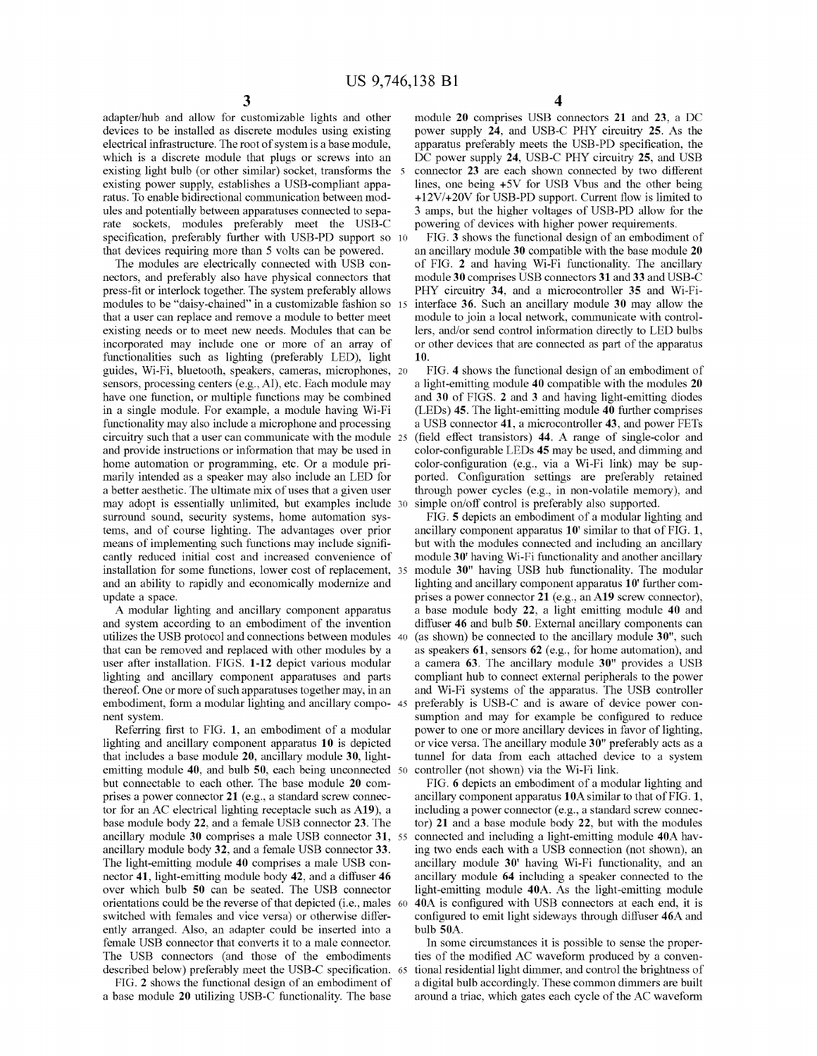devices to be installed as discrete modules using existing power supply  $24$ , and USB-C PHY circuitry 25. As the electrical infrastructure. The root of system is a base module, apparatus preferably meets the USB-PD specif which is a discrete module that plugs or screws into an existing light bulb (or other similar) socket, transforms the 5 existing light bulb (or other similar) socket, transforms the 5 connector 23 are each shown connected by two different existing power supply, establishes a USB-compliant appa-<br>lines, one being  $+5V$  for USB Vbus and the ot existing power supply, establishes a USB-compliant appa-<br>  $\frac{12V}{+20V}$  for USB-PD support. Current flow is limited to ratus. To enable bidirectional communication between mod-<br> $+12V/+20V$  for USB-PD support. Current flow is limited to<br>ules and potentially between apparatuses connected to sepa-<br> $3$  amps, but the higher voltages of USB-PD ules and potentially between apparatuses connected to sepa-<br>
a amps, but the higher voltages of USB-PD allow for the<br>
rate sockets, modules preferably meet the USB-C powering of devices with higher power requirements. rate specification, preferably further with USB-PD support so 10 FIG. 3 shows the functional design of an embodiment of that devices requiring more than 5 volts can be powered. an ancillary module 30 compatible with the ba

nectors, and preferably also have physical connectors that press-fit or interlock together. The system preferably allows modules to be "daisy-chained" in a customizable fashion so 15 that a user can replace and remove a module to better meet that a user can replace and remove a module to better meet module to join a local network, communicate with control-<br>existing needs or to meet new needs. Modules that can be lers, and/or send control information directly t existing needs or to meet new needs. Modules that can be lers, and/or send control information directly to LED bulbs incorporated may include one or more of an array of or other devices that are connected as part of the ap functionalities such as lighting (preferably LED), light 10.<br>guides, Wi-Fi, bluetooth, speakers, cameras, microphones, 20 FIG. 4 shows the functional design of an embodiment of<br>sensors, processing centers (e.g., AI), etc. sensors, processing centers (e.g., AI), etc. Each module may a light-emitting module  $40$  compatible with the modules  $20$  have one function, or multiple functions may be combined and  $30$  of FIGS. 2 and 3 and having ligh have one function, or multiple functions may be combined and 30 of FIGS. 2 and 3 and having light-emitting diodes in a single module. For example, a module having Wi-Fi (LEDs) 45. The light-emitting module 40 further compr in a single module. For example, a module having Wi-Fi (LEDs) 45. The light-emitting module 40 further comprises<br>functionality may also include a microphone and processing a USB connector 41, a microcontroller 43, and powe circuitry such that a user can communicate with the module 25 and provide instructions or information that may be used in and provide instructions or information that may be used in color-configurable LEDs 45 may be used, and dimming and home automation or programming, etc. Or a module pri-color-configuration (e.g., via a Wi-Fi link) may be s marily intended as a speaker may also include an LED for ported. Configuration settings are preferably retained<br>a better aesthetic. The ultimate mix of uses that a given user through power cycles (e.g., in non-volatile mem may adopt is essentially unlimited, but examples include 30 surround sound, security systems, home automation sys-<br>tems, and of course lighting. The advantages over prior ancillary component apparatus 10' similar to that of FIG. 1, means of implementing such functions may include signifi-<br>but with the modules connected and including an ancillary<br>cantly reduced initial cost and increased convenience of module 30' having Wi-Fi functionality and another installation for some functions, lower cost of replacement, 35 module 30" having USB hub functionality. The modular and an ability to rapidly and economically modernize and lighting and ancillary component apparatus 10' fu and an ability to rapidly and economically modernize and lighting and ancillary component apparatus 10 ' further com-<br>prises a power connector 21 (e.g., an A19 screw connector),

utilizes the USB protocol and connections between modules 40 that can be removed and replaced with other modules by a that can be removed and replaced with other modules by a as speakers 61, sensors 62 (e.g., for home automation), and user after installation. FIGS. 1-12 depict various modular a camera 63. The ancillary module  $30$ <sup>n</sup> pro user after installation. FIGS. 1-12 depict various modular a camera 63. The ancillary module 30" provides a USB<br>lighting and ancillary component apparatuses and parts compliant hub to connect external peripherals to the po thereof. One or more of such apparatuses together may, in an and Wi-Fi systems of the apparatus. The USB controller embodiment, form a modular lighting and ancillary compo- 45 preferably is USB-C and is aware of device pow embodiment, form a modular lighting and ancillary compo- 45 nent system.

Referring first to FIG. 1, an embodiment of a modular power to one or more ancillary devices in favor of lighting, lighting and ancillary component apparatus 10 is depicted or vice versa. The ancillary module 30" preferabl that includes a base module 20, ancillary module 30, light-<br>entiting module 40, and bulb 50, each being unconnected  $\overline{50}$  controller (not shown) via the Wi-Fi link. but connectable to each other. The base module 20 com-<br>pises a power connector 21 (e.g., a standard screw connectable incidency component apparatus 10A similar to that of FIG. 1, tor for an AC electrical lighting receptacle such as  $A19$ ), a including a power connector (e.g., a standard screw connec-<br>base module body 22, and a female USB connector 23. The tor) 21 and a base module body 22, but wit base module body 22, and a female USB connector 23. The tor 31 and a base module body 22, but with the modules ancillary module 30 comprises a male USB connector 31, 55 connected and including a light-emitting module 40A h ancillary module 30 comprises a male USB connector 31, 55 connected and including a light-emitting module 40A havancillary module body 32, and a female USB connector 33. The two ends each with a USB connection (not shown), ancillary module body 32, and a female USB connector 33. ing two ends each with a USB connection (not shown), an<br>The light-emitting module 40 comprises a male USB con-<br>ancillary module 30' having Wi-Fi functionality, and a The light-emitting module 40 comprises a male USB con-<br>necillary module 30' having Wi-Fi functionality, and an nector 41, light-emitting module body 42, and a diffuser 46 ancillary module 64 including a speaker connected t nector 41, light-emitting module body 42, and a diffuser 46 ancillary module 64 including a speaker connected to the over which bulb 50 can be seated. The USB connector light-emitting module 40A. As the light-emitting modu over which bulb 50 can be seated. The USB connector light-emitting module 40A. As the light-emitting module orientations could be the reverse of that depicted (i.e., males 60 40A is configured with USB connectors at each e orientations could be the reverse of that depicted (i.e., males 60 40A is configured with USB connectors at each end, it is switched with females and vice versa) or otherwise differ-<br>configured to emit light sideways throu switched with females and vice versa) or otherwise differ-<br>enfigured to emit light sideways through diffuser 46A and<br>ently arranged. Also, an adapter could be inserted into a bulb 50A. female USB connector that converts it to a male connector. In some circumstances it is possible to sense the proper-<br>The USB connectors (and those of the embodiments it is of the modified AC waveform produced by a conven-

described below) preferably meet the USB-C specification. 65 FIG. 2 shows the functional design of an embodiment of

4

adapter/hub and allow for customizable lights and other module 20 comprises USB connectors 21 and 23, a DC devices to be installed as discrete modules using existing power supply 24, and USB-C PHY circuitry 25. As the apparatus preferably meets the USB-PD specification, the DC power supply 24, USB-C PHY circuitry 25, and USB

that devices requiring more than 5 volts can be powered. an ancillary module 30 compatible with the base module 20<br>The modules are electrically connected with USB con-<br>of FIG. 2 and having Wi-Fi functionality. The ancillar of FIG. 2 and having Wi-Fi functionality. The ancillary module 30 comprises USB connectors 31 and 33 and USB-C PHY circuitry 34, and a microcontroller 35 and Wi-Fi-<br>interface 36. Such an ancillary module 30 may allow the or other devices that are connected as part of the apparatus

through power cycles (e.g., in non-volatile memory), and simple on/off control is preferably also supported.

A modular lighting and ancillary component apparatus a base module body 22, a light emitting module 40 and and system according to an embodiment of the invention diffuser 46 and bulb 50. External ancillary components can diffuser 46 and bulb 50. External ancillary components can (as shown) be connected to the ancillary module 30", such compliant hub to connect external peripherals to the power nent system. The sumption and may for example be configured to reduce

ties of the modified AC waveform produced by a conventional residential light dimmer, and control the brightness of FIG. 2 shows the functional design of an embodiment of a digital bulb accordingly. These common dimmers are built a base module 20 utilizing USB-C functionality. The base around a triac, which gates each cycle of the AC wa around a triac, which gates each cycle of the AC waveform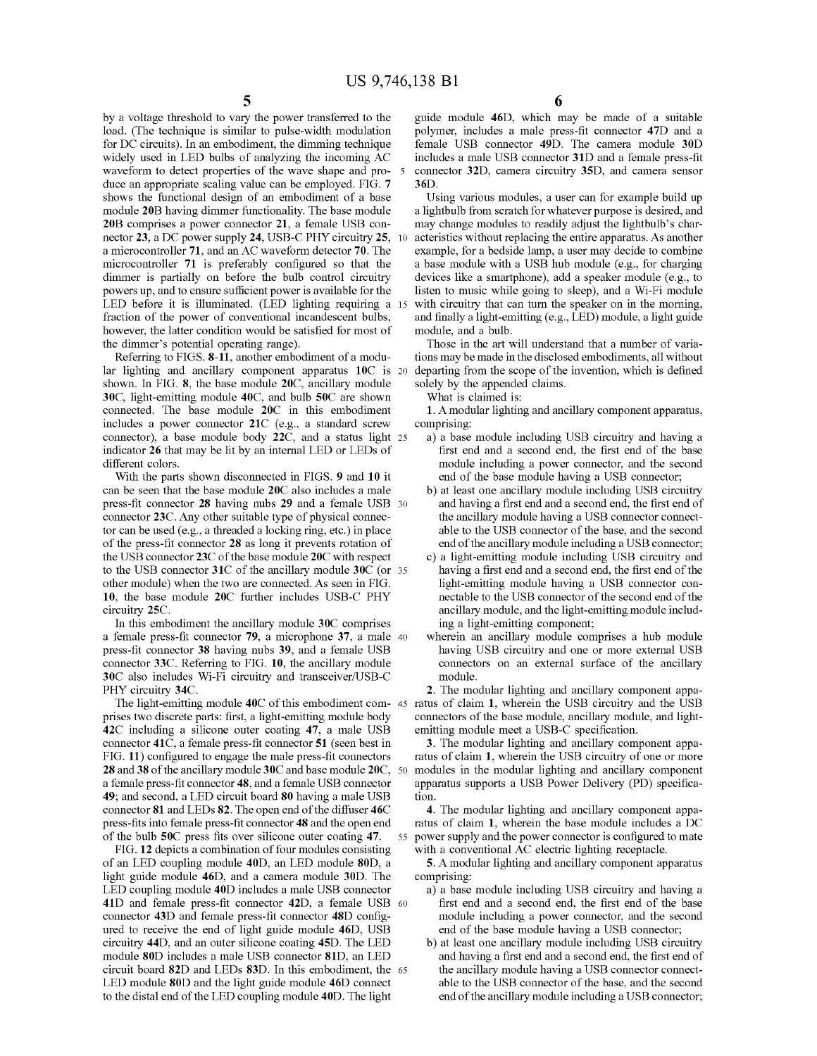load. (The technique is similar to pulse-width modulation polymer, includes a male press-fit connector 47D and a<br>for DC circuits). In an embodiment, the dimming technique female USB connector 49D. The camera module 30D for DC circuits). In an embodiment, the dimming technique female USB connector 49D. The camera module 30D widely used in LED bulbs of analyzing the incoming AC includes a male USB connector 31D and a female press-fit widely used in LED bulbs of analyzing the incoming AC includes a male USB connector 31D and a female press-fit waveform to detect properties of the wave shape and pro- 5 connector 32D, camera circuitry 35D, and camera sens waveform to detect properties of the wave shape and pro- $5$  connector 32D, camera circuitry 35D, and camera sensor duce an appropriate scaling value can be employed. FIG.  $7$  36D. duce an appropriate scaling value can be employed. FIG. 7 36D.<br>
shows the functional design of an embodiment of a base Using various modules, a user can for example build up<br>
module 20B having dimmer functionality. The bas nector 23, a DC power supply 24, USB-C PHY circuitry 25, 10 a microcontroller 71, and an AC waveform detector 70. The a microcontroller 71, and an AC waveform detector 70. The example, for a bedside lamp, a user may decide to combine microcontroller 71 is preferably configured so that the a base module with a USB hub module (e.g., for cha microcontroller 71 is preferably configured so that the a base module with a USB hub module (e.g., for charging dimmer is partially on before the bulb control circuitry devices like a smartphone), add a speaker module (e.g powers up, and to ensure sufficient power is available for the listen to music while going to sleep), and a Wi-Fi module LED before it is illuminated. (LED lighting requiring a 15 with circuitry that can turn the speaker o fraction of the power of conventional incandescent bulbs, and finally a light-emitting (e.g., LED) module, a light guide however, the latter condition would be satisfied for most of module, and a bulb.

Referring to FIGS. 8-11, another embodiment of a modular lighting and ancillary component apparatus  $10C$  is 20 departing from the scope of the invention, which is defined shown. In FIG. 8, the base module  $20C$ , ancillary module solely by the appended claims. 30C, light-emitting module 40C, and bulb 50C are shown What is claimed is:<br>
connected. The base module 20C in this embodiment 1. A modular lighting and ancillary component apparatus, includes a power connector 21C (e.g., a standard screw comprising:<br>connector), a base module body 22C, and a status light  $25$  a) a base module including USB circuitry and having a connector), a base module body 22C, and a status light 25 a) a base module including USB circuitry and having a indicator 26 that may be lit by an internal LED or LEDs of first end and a second end, the first end of the ba indicator 26 that may be lit by an internal LED or LEDs of different colors.

can be seen that the base module 20C also includes a male press-fit connector 28 having nubs 29 and a female USB 30 and having a first end and a second end, the first end of connector 23C. Any other suitable type of physical connect-<br>the ancillary module having a USB connector co connector 23C. Any other suitable type of physical connec-<br>tor can be used (e.g., a threaded a locking ring, etc.) in place able to the USB connector of the base, and the second tor can be used (e.g., a threaded a locking ring, etc.) in place able to the USB connector of the base, and the second of the press-fit connector 28 as long it prevents rotation of end of the ancillary module including a U of the press-fit connector 28 as long it prevents rotation of the USB connector 23C of the base module 20C with respect to the USB connector 31C of the ancillary module 30C (or 35 having a first end and a second end, the first end of the other module) when the two are connected. As seen in FIG. light-emitting module having a USB connector c other module) when the two are connected. As seen in FIG. light-emitting module having a USB connector con-<br>10, the base module 20C further includes USB-C PHY nectable to the USB connector of the second end of the

In this embodiment the ancillary module 30C comprises ing a light-emitting component;<br>
female press-fit connector 79, a microphone 37, a male 40 wherein an ancillary module comprises a hub module a female press-fit connector 79, a microphone 37, a male 40 wherein an ancillary module comprises a hub module press-fit connector 38 having nubs 39, and a female USB having USB circuitry and one or more external USB press-fit connector 38 having nubs 39, and a female USB having USB circuitry and one or more external USB connector 33C. Referring to FIG. 10, the ancillary module connectors on an external surface of the ancillary 30 Calso includes Wi-Fi circuitry and transceiver/USB-C<br>
The modular lighting and ancillary component appa-<br>
2. The modular lighting and ancillary component appa-

prises two discrete parts: first, a light-emitting module body connectors of the base module, ancillary module, and light-<br>42C including a silicone outer coating 47, a male USB emitting module meet a USB-C specification. connector 41C, a female press-fit connector  $51$  (seen best in 3. The modular lighting and ancillary component appared  $1$ ,  $1$ ,  $1$ ) configured to engage the male press-fit connectors ratus of claim 1, wherein the USB ci FIG. 11) configured to engage the male press-fit connectors ratus of claim 1, wherein the USB circuitry of one or more 28 and 38 of the ancillary module 30C and base module 20C, 50 modules in the modular lighting and ancil **28** and 38 of the ancillary module 30C and base module  $20C$ ,  $50$  a female press-fit connector **48**, and a female USB connector a female press-fit connector 48, and a female USB connector apparatus supports a USB Power Delivery (PD) specifica-<br>49; and second, a LED circuit board 80 having a male USB tion. connector 81 and LEDs 82. The open end of the diffuser 46C 4. The modular lighting and ancillary component appapares fits into female press-fit connector 48 and the open end ratus of claim 1, wherein the base module includ

of an LED coupling module  $40D$ , an LED module  $80D$ , a  $\overline{5}$ . A modular lighting and ancillary component apparatus light guide module 46D, and a camera module 30D. The comprising:<br>LED coupling module 40D includes a male USB connector a) a base module including USB circuitry and having a LED coupling module 40D includes a male USB connector a ) a base module including USB circuitry and having a 41D and female press-fit connector 42D, a female USB 60 first end and a second end, the first end of the base 41D and female press-fit connector 42D, a female USB 60 first end and a second end, the first end of the base<br>connector 43D and female press-fit connector 48D config-<br>module including a power connector, and the second connector 43D and female press-fit connector 48D config-<br>ured to receive the end of light guide module 46D, USB and of the base module having a USB connector; ured to receive the end of light guide module 46D, USB end of the base module having a USB connector;<br>circuitry 44D, and an outer silicone coating 45D. The LED b) at least one ancillary module including USB circuitry circuitry 44D, and an outer silicone coating 45D. The LED b at least one ancillary module including USB circuitry module 80D includes a male USB connector 81D, an LED and having a first end and a second end, the first end module 80D includes a male USB connector 81D, an LED and having a first end and a second end, the first end of circuit board 82D and LEDs 83D. In this embodiment, the 65 the ancillary module having a USB connector connectcircuit board 82D and LEDs 83D. In this embodiment, the 65 the ancillary module having a USB connector connect-<br>LED module 80D and the light guide module 46D connect able to the USB connector of the base, and the second LED module 80D and the light guide module 46D connect able to the USB connector of the base, and the second to the distal end of the LED coupling module 40D. The light end of the ancillary module including a USB connector; to the distal end of the LED coupling module 40D. The light

by a voltage threshold to vary the power transferred to the guide module 46D, which may be made of a suitable load. (The technique is similar to pulse-width modulation polymer, includes a male press-fit connector 47D and a

may change modules to readily adjust the lightbulb's characteristics without replacing the entire apparatus. As another devices like a smartphone), add a speaker module (e.g., to

the dimmer's potential operating range). Those in the art will understand that a number of varia-<br>Referring to FIGS. 8-11, another embodiment of a modu-<br>tions may be made in the disclosed embodiments, all without

- different colors.<br>
With the parts shown disconnected in FIGS. 9 and 10 it and of the base module having a USB connector; end of the base module having a USB connector;<br>b) at least one ancillary module including USB circuitry
	-
- c) a light-emitting module including USB circuitry and having a first end and a second end, the first end of the 10 circuitry 25C. The base module 20C further includes use module, and the light-emitting module includ-<br>
10 In this embodiment the ancillary module 30C comprises<br>
10 In this embodiment the ancillary module 30C comprises
	-

The light-emitting module 40C of this embodiment com-45 ratus of claim 1, wherein the USB circuitry and the USB prises two discrete parts: first, a light-emitting module body connectors of the base module, ancillary module

ratus of claim 1, wherein the base module includes a DC 55 power supply and the power connector is configured to mate of the bulb 50C press fits over silicone outer coating 47. 55 power supply and the power connector is configured FIG. 12 depicts a combination of four modules consisting with a conventional AC electric lighting receptacle.

- 
-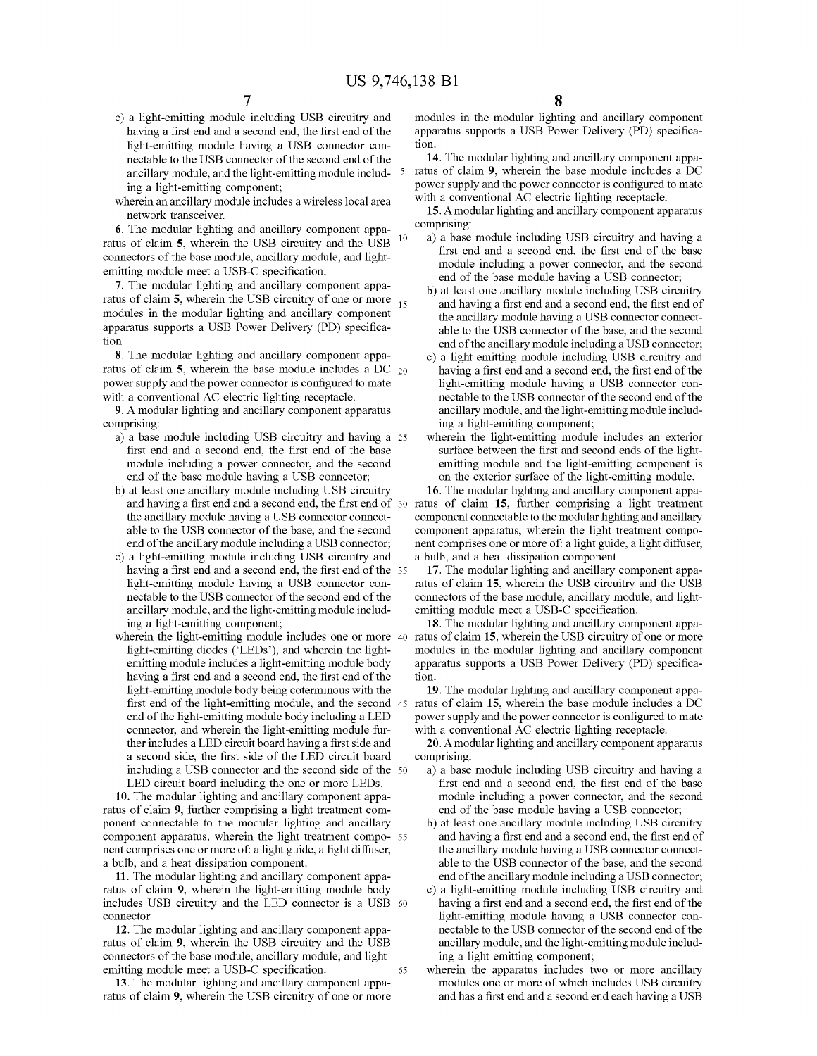- having a first end and a second end, the first end of the apparatus a USB connector contribution is a USB connector contribution
- wherein an ancillary module includes a wireless local area network transceiver.

6. The modular lighting and ancillary component apparation of equal to the USD including USB circuitry and having a ratus of claim 5, wherein the USB circuitry and the USB <sup>10</sup> a ) a base module including USB circuitry and having a connectors of the base module, ancillary module, and light-<br>that including including a second end, the fir

connectors of the base module, ancillary module, and light-<br>emitting module meet a USB-C specification.<br>
7. The modular lighting and ancillary component apparent of the base module including a power connector, and the seco

ratus of claim 5, wherein the base module includes a DC 20 having a first end and a second end, the first end of the power supply and the power connector is configured to mate light-emitting module having a USB connector c power supply and the power connector is configured to mate with a conventional AC electric lighting receptacle.

9. A modular lighting and ancillary component apparatus comprising:

- a) a base module including USB circuitry and having a 25 wherein the light-emitting module includes an exterior first end and a second end, the first end of the base surface between the first and second ends of the light-
- b) at least one ancillary module including USB circuitry 16. The modular lighting and ancillary component appa-
- end of the ancillary module including a USB connector; nent comprises one or more of: a light guide, a light diffuser,<br>c) a light-emitting module including USB circuitry and a heat dissipation component.<br>having a first end
- light-emitting module body being coterminous with the 19. The modular lighting and ancillary component appaa second side, the first side of the LED circuit board comprising:<br>including a USB connector and the second side of the  $50$  a) a base module including USB circuitry and having a

10. The modular lighting and ancillary component appa-<br>us of claim 9, further comprising a light treatment com-<br>end of the base module having a USB connector; ratus of claim 9, further comprising a light treatment com-<br>
ponent connectable to the modular lighting and ancillary b) at least one ancillary module including USB circuitry ponent connectable to the modular lighting and ancillary b) at least one ancillary module including USB circuitry<br>component apparatus, wherein the light treatment compo- 55 and having a first end and a second end, the firs component apparatus, wherein the light treatment compo- 55 and having a first end and a second end, the first end of nent comprises one or more of: a light guide, a light diffuser, the ancillary module having a USB connect nent comprises one or more of: a light guide, a light diffuser, a bulb, and a heat dissipation component.

11. The modular lighting and ancillary component appa end of the ancillary module including a USB connector;<br>
us of claim 9, wherein the light-emitting module body c) a light-emitting module including USB circuitry and ratus of claim 9, wherein the light-emitting module body c) a light-emitting module including USB circuitry and<br>includes USB circuitry and the LED connector is a USB 60 having a first end and a second end, the first end of includes USB circuitry and the LED connector is a USB  $60$  connector.

12. The modular lighting and ancillary component appa nectable to the USB connector of the second end of the us of claim 9, wherein the USB circuitry and the USB ancillary module, and the light-emitting module includratus of claim 9, wherein the USB circuitry and the USB ancillary module, and the light-<br>connectors of the base module, ancillary module, and light-<br>ing a light-emitting component; connectors of the base module, ancillary module, and light-emitting module meet a USB-C specification.

ratus of claim 9, wherein the USB circuitry of one or more

c) a light-emitting module including USB circuitry and modules in the modular lighting and ancillary component having a first end and a second end, the first end of the apparatus supports a USB Power Delivery (PD) specific

nectable to the USB connector of the second end of the **14**. The modular lighting and ancillary component apparancillary module, and the light-emitting module include 5 ratus of claim 9, wherein the base module includes a ing a light-emitting component;<br>herein an ancillary module includes a wireless local area with a conventional AC electric lighting receptacle.

15. A modular lighting and ancillary component apparatus comprising:

- 
- tion.<br> **8.** The modular lighting and ancillary component appa-<br> **8.** The modular lighting and ancillary component appa-<br> **9.** a light-emitting module including USB circuitry and
	- c) a light-emitting module including USB circuitry and nectable to the USB connector of the second end of the ancillary module, and the light-emitting module including a light-emitting component;<br>wherein the light-emitting module includes an exterior
	- first end and the first end and the first end of the base surface between the first and of the base module having a USB connector; and the exterior surface of the light-emitting module.

and having a first end and a second end, the first end of  $30$  ratus of claim 15, further comprising a light treatment the ancillary module having a USB connector connect-<br>able to the modular lighting and ancillary<br>able to the USB connector of the base, and the second<br>component apparatus, wherein the light treatment compo-

light-emitting module having a USB connector con-<br>nector of the second end of the connectors of the base module, ancillary module, and light-<br>the use of the base module, ancillary module, and light-

ancillary module, and the light-emitting module includ-<br>ing a light-emitting component;<br>**18.** The modular lighting and ancillary component appa-<br>herein the light-emitting module includes one or more 40 ratus of claim 15, w wherein the light-emitting module includes one or more 40 ratus of claim 15, wherein the USB circuitry of one or more light-<br>light-emitting diodes ('LEDs'), and wherein the light-<br>modules in the modular lighting and ancill emitting module includes a light-emitting module body apparatus supports a USB Power Delivery (PD) specifica-<br>having a first end and a second end, the first end of the tion.

first end of the light-emitting module, and the second 45 ratus of claim 15, wherein the base module includes a DC end of the light-emitting module body including a LED power supply and the power connector is configured to end of the light-emitting module body including a LED power supply and the power connector is configured to mate<br>connector, and wherein the light-emitting module fur-<br>with a conventional AC electric lighting receptacle.

ther includes a LED circuit board having a first side and **20.** A modular lighting and ancillary component apparatus a second side, the first side of the LED circuit board comprising:

- including a USB connector and the second side of the 50 a ) a base module including USB circuitry and having a<br>LED circuit board including the one or more LEDs. first end and a second end, the first end of the base
	- able to the USB connector of the base, and the second end of the ancillary module including a USB connector;
	- light-emitting module having a USB connector connectable to the USB connector of the second end of the
- 65 wherein the apparatus includes two or more ancillary modules one or more of which includes USB circuitry 13. The modular lighting and ancillary component appa modules one or more of which includes USB circuitry and has a first end and a second end each having a USB circuitry of one or more